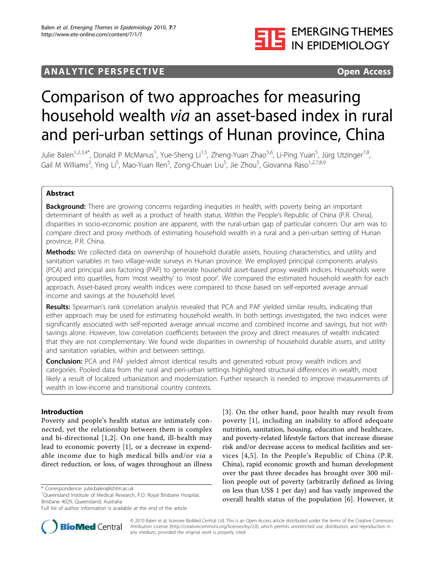

# **ANALYTIC PERSPECTIVE** EXECUTE THE Open Access

# Comparison of two approaches for measuring household wealth via an asset-based index in rural and peri-urban settings of Hunan province, China

Julie Balen<sup>1,2,3,4\*</sup>, Donald P McManus<sup>1</sup>, Yue-Sheng Li<sup>1,5</sup>, Zheng-Yuan Zhao<sup>5,6</sup>, Li-Ping Yuan<sup>5</sup>, Jürg Utzinger<sup>7,8</sup>, Gail M Williams<sup>2</sup>, Ying Li<sup>5</sup>, Mao-Yuan Ren<sup>5</sup>, Zong-Chuan Liu<sup>5</sup>, Jie Zhou<sup>5</sup>, Giovanna Raso<sup>1,2,7,8,9</sup>

# Abstract

**Background:** There are growing concerns regarding inequities in health, with poverty being an important determinant of health as well as a product of health status. Within the People's Republic of China (P.R. China), disparities in socio-economic position are apparent, with the rural-urban gap of particular concern. Our aim was to compare direct and proxy methods of estimating household wealth in a rural and a peri-urban setting of Hunan province, P.R. China.

Methods: We collected data on ownership of household durable assets, housing characteristics, and utility and sanitation variables in two village-wide surveys in Hunan province. We employed principal components analysis (PCA) and principal axis factoring (PAF) to generate household asset-based proxy wealth indices. Households were grouped into quartiles, from 'most wealthy' to 'most poor'. We compared the estimated household wealth for each approach. Asset-based proxy wealth indices were compared to those based on self-reported average annual income and savings at the household level.

Results: Spearman's rank correlation analysis revealed that PCA and PAF yielded similar results, indicating that either approach may be used for estimating household wealth. In both settings investigated, the two indices were significantly associated with self-reported average annual income and combined income and savings, but not with savings alone. However, low correlation coefficients between the proxy and direct measures of wealth indicated that they are not complementary. We found wide disparities in ownership of household durable assets, and utility and sanitation variables, within and between settings.

**Conclusion:** PCA and PAF yielded almost identical results and generated robust proxy wealth indices and categories. Pooled data from the rural and peri-urban settings highlighted structural differences in wealth, most likely a result of localized urbanization and modernization. Further research is needed to improve measurements of wealth in low-income and transitional country contexts.

# Introduction

Poverty and people's health status are intimately connected, yet the relationship between them is complex and bi-directional [[1,2\]](#page-15-0). On one hand, ill-health may lead to economic poverty [\[1](#page-15-0)], or a decrease in expendable income due to high medical bills and/or via a direct reduction, or loss, of wages throughout an illness

Full list of author information is available at the end of the article





© 2010 Balen et al; licensee BioMed Central Ltd. This is an Open Access article distributed under the terms of the Creative Commons Attribution License [\(http://creativecommons.org/licenses/by/2.0](http://creativecommons.org/licenses/by/2.0)), which permits unrestricted use, distribution, and reproduction in any medium, provided the original work is properly cited.

<sup>\*</sup> Correspondence: [julie.balen@lshtm.ac.uk](mailto:julie.balen@lshtm.ac.uk)

<sup>&</sup>lt;sup>1</sup>Queensland Institute of Medical Research, P.O. Royal Brisbane Hospital, Brisbane 4029, Queensland, Australia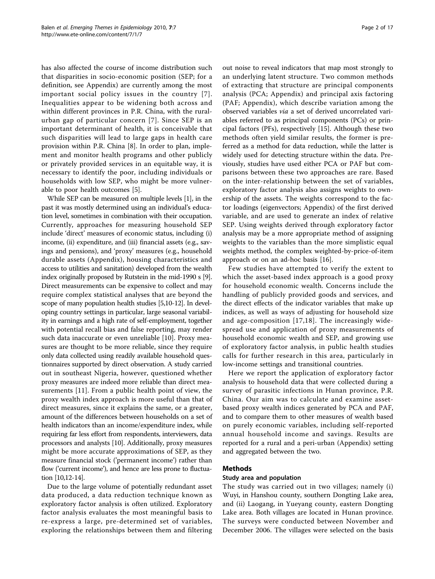has also affected the course of income distribution such that disparities in socio-economic position (SEP; for a definition, see Appendix) are currently among the most important social policy issues in the country [[7\]](#page-15-0). Inequalities appear to be widening both across and within different provinces in P.R. China, with the ruralurban gap of particular concern [[7\]](#page-15-0). Since SEP is an important determinant of health, it is conceivable that such disparities will lead to large gaps in health care provision within P.R. China [[8\]](#page-15-0). In order to plan, implement and monitor health programs and other publicly or privately provided services in an equitable way, it is necessary to identify the poor, including individuals or households with low SEP, who might be more vulnerable to poor health outcomes [\[5\]](#page-15-0).

While SEP can be measured on multiple levels [\[1\]](#page-15-0), in the past it was mostly determined using an individual's education level, sometimes in combination with their occupation. Currently, approaches for measuring household SEP include 'direct' measures of economic status, including (i) income, (ii) expenditure, and (iii) financial assets (e.g., savings and pensions), and 'proxy' measures (e.g., household durable assets (Appendix), housing characteristics and access to utilities and sanitation) developed from the wealth index originally proposed by Rutstein in the mid-1990 s [[9](#page-15-0)]. Direct measurements can be expensive to collect and may require complex statistical analyses that are beyond the scope of many population health studies [[5,10-12](#page-15-0)]. In developing country settings in particular, large seasonal variability in earnings and a high rate of self-employment, together with potential recall bias and false reporting, may render such data inaccurate or even unreliable [[10\]](#page-15-0). Proxy measures are thought to be more reliable, since they require only data collected using readily available household questionnaires supported by direct observation. A study carried out in southeast Nigeria, however, questioned whether proxy measures are indeed more reliable than direct measurements [\[11](#page-15-0)]. From a public health point of view, the proxy wealth index approach is more useful than that of direct measures, since it explains the same, or a greater, amount of the differences between households on a set of health indicators than an income/expenditure index, while requiring far less effort from respondents, interviewers, data processors and analysts [\[10\]](#page-15-0). Additionally, proxy measures might be more accurate approximations of SEP, as they measure financial stock ('permanent income') rather than flow ('current income'), and hence are less prone to fluctuation [[10,12](#page-15-0)-[14](#page-15-0)].

Due to the large volume of potentially redundant asset data produced, a data reduction technique known as exploratory factor analysis is often utilized. Exploratory factor analysis evaluates the most meaningful basis to re-express a large, pre-determined set of variables, exploring the relationships between them and filtering out noise to reveal indicators that map most strongly to an underlying latent structure. Two common methods of extracting that structure are principal components analysis (PCA; Appendix) and principal axis factoring (PAF; Appendix), which describe variation among the observed variables via a set of derived uncorrelated variables referred to as principal components (PCs) or principal factors (PFs), respectively [[15](#page-15-0)]. Although these two methods often yield similar results, the former is preferred as a method for data reduction, while the latter is widely used for detecting structure within the data. Previously, studies have used either PCA or PAF but comparisons between these two approaches are rare. Based on the inter-relationship between the set of variables, exploratory factor analysis also assigns weights to ownership of the assets. The weights correspond to the factor loadings (eigenvectors; Appendix) of the first derived variable, and are used to generate an index of relative SEP. Using weights derived through exploratory factor analysis may be a more appropriate method of assigning weights to the variables than the more simplistic equal weights method, the complex weighted-by-price-of-item approach or on an ad-hoc basis [\[16](#page-15-0)].

Few studies have attempted to verify the extent to which the asset-based index approach is a good proxy for household economic wealth. Concerns include the handling of publicly provided goods and services, and the direct effects of the indicator variables that make up indices, as well as ways of adjusting for household size and age-composition [\[17,18](#page-15-0)]. The increasingly widespread use and application of proxy measurements of household economic wealth and SEP, and growing use of exploratory factor analysis, in public health studies calls for further research in this area, particularly in low-income settings and transitional countries.

Here we report the application of exploratory factor analysis to household data that were collected during a survey of parasitic infections in Hunan province, P.R. China. Our aim was to calculate and examine assetbased proxy wealth indices generated by PCA and PAF, and to compare them to other measures of wealth based on purely economic variables, including self-reported annual household income and savings. Results are reported for a rural and a peri-urban (Appendix) setting and aggregated between the two.

# Methods

#### Study area and population

The study was carried out in two villages; namely (i) Wuyi, in Hanshou county, southern Dongting Lake area, and (ii) Laogang, in Yueyang county, eastern Dongting Lake area. Both villages are located in Hunan province. The surveys were conducted between November and December 2006. The villages were selected on the basis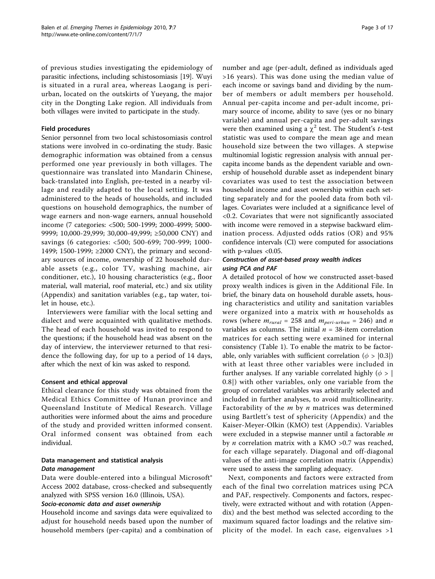of previous studies investigating the epidemiology of parasitic infections, including schistosomiasis [[19\]](#page-15-0). Wuyi is situated in a rural area, whereas Laogang is periurban, located on the outskirts of Yueyang, the major city in the Dongting Lake region. All individuals from both villages were invited to participate in the study.

# Field procedures

Senior personnel from two local schistosomiasis control stations were involved in co-ordinating the study. Basic demographic information was obtained from a census performed one year previously in both villages. The questionnaire was translated into Mandarin Chinese, back-translated into English, pre-tested in a nearby village and readily adapted to the local setting. It was administered to the heads of households, and included questions on household demographics, the number of wage earners and non-wage earners, annual household income (7 categories: <500; 500-1999; 2000-4999; 5000- 9999; 10,000-29,999; 30,000-49,999; ≥50,000 CNY) and savings (6 categories: <500; 500-699; 700-999; 1000- 1499; 1500-1999; ≥2000 CNY), the primary and secondary sources of income, ownership of 22 household durable assets (e.g., color TV, washing machine, air conditioner, etc.), 10 housing characteristics (e.g., floor material, wall material, roof material, etc.) and six utility (Appendix) and sanitation variables (e.g., tap water, toilet in house, etc.).

Interviewers were familiar with the local setting and dialect and were acquainted with qualitative methods. The head of each household was invited to respond to the questions; if the household head was absent on the day of interview, the interviewer returned to that residence the following day, for up to a period of 14 days, after which the next of kin was asked to respond.

#### Consent and ethical approval

Ethical clearance for this study was obtained from the Medical Ethics Committee of Hunan province and Queensland Institute of Medical Research. Village authorities were informed about the aims and procedure of the study and provided written informed consent. Oral informed consent was obtained from each individual.

# Data management and statistical analysis Data management

Data were double-entered into a bilingual Microsoft<sup>®</sup> Access 2002 database, cross-checked and subsequently analyzed with SPSS version 16.0 (Illinois, USA).

# Socio-economic data and asset ownership

Household income and savings data were equivalized to adjust for household needs based upon the number of household members (per-capita) and a combination of number and age (per-adult, defined as individuals aged >16 years). This was done using the median value of each income or savings band and dividing by the number of members or adult members per household. Annual per-capita income and per-adult income, primary source of income, ability to save (yes or no binary variable) and annual per-capita and per-adult savings were then examined using a  $\chi^2$  test. The Student's *t*-test statistic was used to compare the mean age and mean household size between the two villages. A stepwise multinomial logistic regression analysis with annual percapita income bands as the dependent variable and ownership of household durable asset as independent binary covariates was used to test the association between household income and asset ownership within each setting separately and for the pooled data from both villages. Covariates were included at a significance level of <0.2. Covariates that were not significantly associated with income were removed in a stepwise backward elimination process. Adjusted odds ratios (OR) and 95% confidence intervals (CI) were computed for associations with p-values <0.05.

# Construction of asset-based proxy wealth indices using PCA and PAF

A detailed protocol of how we constructed asset-based proxy wealth indices is given in the Additional File. In brief, the binary data on household durable assets, housing characteristics and utility and sanitation variables were organized into a matrix with  $m$  households as rows (where  $m_{\text{rural}} = 258$  and  $m_{\text{peri-urban}} = 246$ ) and n variables as columns. The initial  $n = 38$ -item correlation matrices for each setting were examined for internal consistency (Table [1\)](#page-3-0). To enable the matrix to be factorable, only variables with sufficient correlation ( $\phi$  >  $|0.3|$ ) with at least three other variables were included in further analyses. If any variable correlated highly ( $\phi$  > | 0.8|) with other variables, only one variable from the group of correlated variables was arbitrarily selected and included in further analyses, to avoid multicollinearity. Factorability of the  $m$  by  $n$  matrices was determined using Bartlett's test of sphericity (Appendix) and the Kaiser-Meyer-Olkin (KMO) test (Appendix). Variables were excluded in a stepwise manner until a factorable m by *n* correlation matrix with a KMO  $>0.7$  was reached, for each village separately. Diagonal and off-diagonal values of the anti-image correlation matrix (Appendix) were used to assess the sampling adequacy.

Next, components and factors were extracted from each of the final two correlation matrices using PCA and PAF, respectively. Components and factors, respectively, were extracted without and with rotation (Appendix) and the best method was selected according to the maximum squared factor loadings and the relative simplicity of the model. In each case, eigenvalues >1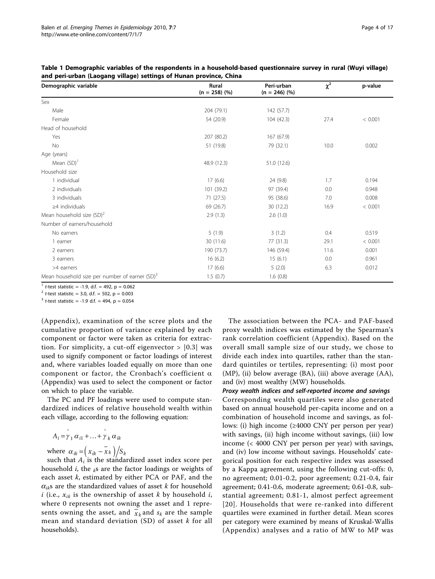| Demographic variable                                       | Rural<br>$(n = 258)$ (%) | Peri-urban<br>$(n = 246)$ (%) | $\chi^2$ | p-value |
|------------------------------------------------------------|--------------------------|-------------------------------|----------|---------|
| Sex                                                        |                          |                               |          |         |
| Male                                                       | 204 (79.1)               | 142 (57.7)                    |          |         |
| Female                                                     | 54 (20.9)                | 104 (42.3)                    | 27.4     | < 0.001 |
| Head of household                                          |                          |                               |          |         |
| Yes                                                        | 207 (80.2)               | 167 (67.9)                    |          |         |
| No                                                         | 51 (19.8)                | 79 (32.1)                     | 10.0     | 0.002   |
| Age (years)                                                |                          |                               |          |         |
| Mean $(SD)^1$                                              | 48.9 (12.3)              | 51.0 (12.6)                   |          |         |
| Household size                                             |                          |                               |          |         |
| 1 individual                                               | 17(6.6)                  | 24 (9.8)                      | 1.7      | 0.194   |
| 2 individuals                                              | 101 (39.2)               | 97 (39.4)                     | 0.0      | 0.948   |
| 3 individuals                                              | 71(27.5)                 | 95 (38.6)                     | 7.0      | 0.008   |
| $\geq$ 4 individuals                                       | 69 (26.7)                | 30 (12.2)                     | 16.9     | < 0.001 |
| Mean household size $(SD)^2$                               | 2.9(1.3)                 | 2.6(1.0)                      |          |         |
| Number of earners/household                                |                          |                               |          |         |
| No earners                                                 | 5(1.9)                   | 3(1.2)                        | 0.4      | 0.519   |
| 1 earner                                                   | 30 (11.6)                | 77 (31.3)                     | 29.1     | < 0.001 |
| 2 earners                                                  | 190 (73.7)               | 146 (59.4)                    | 11.6     | 0.001   |
| 3 earners                                                  | 16(6.2)                  | 15(6.1)                       | 0.0      | 0.961   |
| >4 earners                                                 | 17(6.6)                  | 5(2.0)                        | 6.3      | 0.012   |
| Mean household size per number of earner (SD) <sup>3</sup> | 1.5(0.7)                 | 1.6(0.8)                      |          |         |

<span id="page-3-0"></span>Table 1 Demographic variables of the respondents in a household-based questionnaire survey in rural (Wuyi village) and peri-urban (Laogang village) settings of Hunan province, China

 $1$  t-test statistic = -1.9, d.f. = 492, p = 0.062

 $^{2}$  t-test statistic = 3.0, d.f. = 502, p = 0.003

 $3$  t-test statistic = -1.9 d.f. = 494, p = 0.054

(Appendix), examination of the scree plots and the cumulative proportion of variance explained by each component or factor were taken as criteria for extraction. For simplicity, a cut-off eigenvector  $> |0.3|$  was used to signify component or factor loadings of interest and, where variables loaded equally on more than one component or factor, the Cronbach's coefficient  $\alpha$ (Appendix) was used to select the component or factor on which to place the variable.

The PC and PF loadings were used to compute standardized indices of relative household wealth within each village, according to the following equation:

$$
A_i = \hat{\gamma}_1 \alpha_{i1} + \ldots + \hat{\gamma}_k \alpha_{ik}
$$

where  $\alpha_{ik} = \left(\frac{x_{ik} - x_k}{x_{ik}}\right) / S_k$ 

such that  $A_i$  is the standardized asset index score per household *i*, the  $_{k}$ s are the factor loadings or weights of each asset  $k$ , estimated by either PCA or PAF, and the  $\alpha_{ik}$ s are the standardized values of asset k for household i (i.e.,  $x_{ik}$  is the ownership of asset k by household i, where 0 represents not owning the asset and 1 represents owning the asset, and  $\bar{x}_k$  and  $s_k$  are the sample mean and standard deviation (SD) of asset  $k$  for all households).

The association between the PCA- and PAF-based proxy wealth indices was estimated by the Spearman's rank correlation coefficient (Appendix). Based on the overall small sample size of our study, we chose to divide each index into quartiles, rather than the standard quintiles or tertiles, representing: (i) most poor (MP), (ii) below average (BA), (iii) above average (AA), and (iv) most wealthy (MW) households.

# Proxy wealth indices and self-reported income and savings

Corresponding wealth quartiles were also generated based on annual household per-capita income and on a combination of household income and savings, as follows: (i) high income (≥4000 CNY per person per year) with savings, (ii) high income without savings, (iii) low income (< 4000 CNY per person per year) with savings, and (iv) low income without savings. Households' categorical position for each respective index was assessed by a Kappa agreement, using the following cut-offs: 0, no agreement; 0.01-0.2, poor agreement; 0.21-0.4, fair agreement; 0.41-0.6, moderate agreement; 0.61-0.8, substantial agreement; 0.81-1, almost perfect agreement [[20\]](#page-15-0). Households that were re-ranked into different quartiles were examined in further detail. Mean scores per category were examined by means of Kruskal-Wallis (Appendix) analyses and a ratio of MW to MP was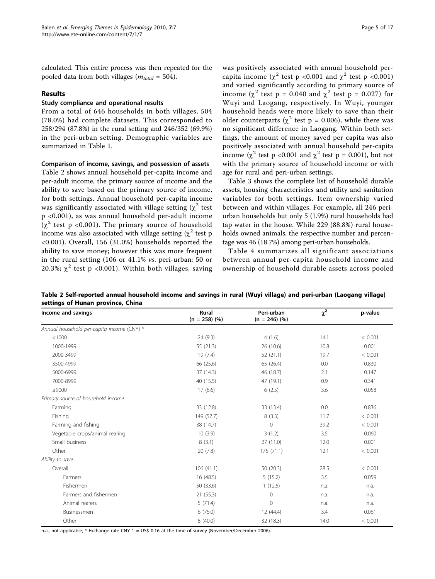calculated. This entire process was then repeated for the pooled data from both villages ( $m_{total} = 504$ ).

# Results

# Study compliance and operational results

From a total of 646 households in both villages, 504 (78.0%) had complete datasets. This corresponded to 258/294 (87.8%) in the rural setting and 246/352 (69.9%) in the peri-urban setting. Demographic variables are summarized in Table [1.](#page-3-0)

# Comparison of income, savings, and possession of assets

Table 2 shows annual household per-capita income and per-adult income, the primary source of income and the ability to save based on the primary source of income, for both settings. Annual household per-capita income was significantly associated with village setting  $(\chi^2$  test p <0.001), as was annual household per-adult income  $(\chi^2$  test p <0.001). The primary source of household income was also associated with village setting  $(\chi^2 \text{ test p})$ <0.001). Overall, 156 (31.0%) households reported the ability to save money; however this was more frequent in the rural setting (106 or 41.1% vs. peri-urban: 50 or 20.3%;  $\chi^2$  test p <0.001). Within both villages, saving was positively associated with annual household percapita income ( $\chi^2$  test p <0.001 and  $\chi^2$  test p <0.001) and varied significantly according to primary source of income ( $\chi^2$  test p = 0.040 and  $\chi^2$  test p = 0.027) for Wuyi and Laogang, respectively. In Wuyi, younger household heads were more likely to save than their older counterparts ( $\chi^2$  test p = 0.006), while there was no significant difference in Laogang. Within both settings, the amount of money saved per capita was also positively associated with annual household per-capita income ( $\chi^2$  test p <0.001 and  $\chi^2$  test p = 0.001), but not with the primary source of household income or with age for rural and peri-urban settings.

Table [3](#page-5-0) shows the complete list of household durable assets, housing characteristics and utility and sanitation variables for both settings. Item ownership varied between and within villages. For example, all 246 periurban households but only 5 (1.9%) rural households had tap water in the house. While 229 (88.8%) rural households owned animals, the respective number and percentage was 46 (18.7%) among peri-urban households.

Table [4](#page-6-0) summarizes all significant associations between annual per-capita household income and ownership of household durable assets across pooled

| Income and savings                         | Rural<br>$(n = 258)$ (%) | Peri-urban<br>$(n = 246)$ (%) | $\chi^2$ | p-value |
|--------------------------------------------|--------------------------|-------------------------------|----------|---------|
| Annual household per-capita income (CNY) * |                          |                               |          |         |
| < 1000                                     | 24 (9.3)                 | 4(1.6)                        | 14.1     | < 0.001 |
| 1000-1999                                  | 55 (21.3)                | 26 (10.6)                     | 10.8     | 0.001   |
| 2000-3499                                  | 19(7.4)                  | 52(21.1)                      | 19.7     | < 0.001 |
| 3500-4999                                  | 66 (25.6)                | 65 (26.4)                     | 0.0      | 0.830   |
| 5000-6999                                  | 37 (14.3)                | 46 (18.7)                     | 2.1      | 0.147   |
| 7000-8999                                  | 40 (15.5)                | 47 (19.1)                     | 0.9      | 0.341   |
| $\geq$ 9000                                | 17(6.6)                  | 6(2.5)                        | 3.6      | 0.058   |
| Primary source of household income         |                          |                               |          |         |
| Farming                                    | 33 (12.8)                | 33 (13.4)                     | 0.0      | 0.836   |
| Fishing                                    | 149 (57.7)               | 8(3.3)                        | 11.7     | < 0.001 |
| Farming and fishing                        | 38 (14.7)                | $\mathbf{0}$                  | 39.2     | < 0.001 |
| Vegetable crops/animal rearing             | 10(3.9)                  | 3(1.2)                        | 3.5      | 0.060   |
| Small business                             | 8(3.1)                   | 27(11.0)                      | 12.0     | 0.001   |
| Other                                      | 20(7.8)                  | 175(71.1)                     | 12.1     | < 0.001 |
| Ability to save                            |                          |                               |          |         |
| Overall                                    | 106(41.1)                | 50 (20.3)                     | 28.5     | < 0.001 |
| Farmers                                    | 16 (48.5)                | 5(15.2)                       | 3.5      | 0.059   |
| Fishermen                                  | 50 (33.6)                | 1(12.5)                       | n.a.     | n.a.    |
| Farmers and fishermen                      | 21 (55.3)                | $\mathbf 0$                   | n.a.     | n.a.    |
| Animal rearers                             | 5(71.4)                  | $\mathbf 0$                   | n.a.     | n.a.    |
| Businessmen                                | 6(75.0)                  | 12 (44.4)                     | 3.4      | 0.061   |
| Other                                      | 8 (40.0)                 | 32 (18.3)                     | 14.0     | < 0.001 |

Table 2 Self-reported annual household income and savings in rural (Wuyi village) and peri-urban (Laogang village) settings of Hunan province, China

n.a., not applicable; \* Exchange rate CNY 1 ≈ US\$ 0.16 at the time of survey (November/December 2006)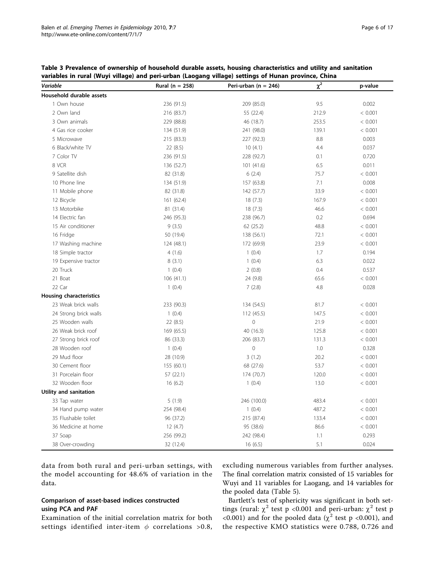<span id="page-5-0"></span>

| Table 3 Prevalence of ownership of household durable assets, housing characteristics and utility and sanitation |
|-----------------------------------------------------------------------------------------------------------------|
| variables in rural (Wuyi village) and peri-urban (Laogang village) settings of Hunan province, China            |

| <b>Variable</b>          | Rural ( $n = 258$ ) | Peri-urban ( $n = 246$ ) | $\chi^2$ | p-value |
|--------------------------|---------------------|--------------------------|----------|---------|
| Household durable assets |                     |                          |          |         |
| 1 Own house              | 236 (91.5)          | 209 (85.0)               | 9.5      | 0.002   |
| 2 Own land               | 216 (83.7)          | 55 (22.4)                | 212.9    | < 0.001 |
| 3 Own animals            | 229 (88.8)          | 46 (18.7)                | 253.5    | < 0.001 |
| 4 Gas rice cooker        | 134 (51.9)          | 241 (98.0)               | 139.1    | < 0.001 |
| 5 Microwave              | 215 (83.3)          | 227 (92.3)               | 8.8      | 0.003   |
| 6 Black/white TV         | 22(8.5)             | 10(4.1)                  | 4.4      | 0.037   |
| 7 Color TV               | 236 (91.5)          | 228 (92.7)               | 0.1      | 0.720   |
| 8 VCR                    | 136 (52.7)          | 101(41.6)                | 6.5      | 0.011   |
| 9 Satellite dish         | 82 (31.8)           | 6(2.4)                   | 75.7     | < 0.001 |
| 10 Phone line            | 134 (51.9)          | 157 (63.8)               | 7.1      | 0.008   |
| 11 Mobile phone          | 82 (31.8)           | 142 (57.7)               | 33.9     | < 0.001 |
| 12 Bicycle               | 161 (62.4)          | 18(7.3)                  | 167.9    | < 0.001 |
| 13 Motorbike             | 81 (31.4)           | 18(7.3)                  | 46.6     | < 0.001 |
| 14 Electric fan          | 246 (95.3)          | 238 (96.7)               | 0.2      | 0.694   |
| 15 Air conditioner       | 9(3.5)              | 62 (25.2)                | 48.8     | < 0.001 |
| 16 Fridge                | 50 (19.4)           | 138 (56.1)               | 72.1     | < 0.001 |
| 17 Washing machine       | 124 (48.1)          | 172 (69.9)               | 23.9     | < 0.001 |
| 18 Simple tractor        | 4(1.6)              | 1(0.4)                   | 1.7      | 0.194   |
| 19 Expensive tractor     | 8(3.1)              | 1(0.4)                   | 6.3      | 0.022   |
| 20 Truck                 | 1(0.4)              | 2(0.8)                   | 0.4      | 0.537   |
| 21 Boat                  | 106(41.1)           | 24 (9.8)                 | 65.6     | < 0.001 |
| 22 Car                   | 1(0.4)              | 7(2.8)                   | 4.8      | 0.028   |
| Housing characteristics  |                     |                          |          |         |
| 23 Weak brick walls      | 233 (90.3)          | 134 (54.5)               | 81.7     | < 0.001 |
| 24 Strong brick walls    | 1(0.4)              | 112 (45.5)               | 147.5    | < 0.001 |
| 25 Wooden walls          | 22 (8.5)            | $\mathbf 0$              | 21.9     | < 0.001 |
| 26 Weak brick roof       | 169 (65.5)          | 40 (16.3)                | 125.8    | < 0.001 |
| 27 Strong brick roof     | 86 (33.3)           | 206 (83.7)               | 131.3    | < 0.001 |
| 28 Wooden roof           | 1(0.4)              | $\mathbb O$              | 1.0      | 0.328   |
| 29 Mud floor             | 28 (10.9)           | 3(1.2)                   | 20.2     | < 0.001 |
| 30 Cement floor          | 155 (60.1)          | 68 (27.6)                | 53.7     | < 0.001 |
| 31 Porcelain floor       | 57 (22.1)           | 174 (70.7)               | 120.0    | < 0.001 |
| 32 Wooden floor          | 16(6.2)             | 1(0.4)                   | 13.0     | < 0.001 |
| Utility and sanitation   |                     |                          |          |         |
| 33 Tap water             | 5(1.9)              | 246 (100.0)              | 483.4    | < 0.001 |
| 34 Hand pump water       | 254 (98.4)          | 1(0.4)                   | 487.2    | < 0.001 |
| 35 Flushable toilet      | 96 (37.2)           | 215 (87.4)               | 133.4    | < 0.001 |
| 36 Medicine at home      | 12(4.7)             | 95 (38.6)                | 86.6     | < 0.001 |
| 37 Soap                  | 256 (99.2)          | 242 (98.4)               | 1.1      | 0.293   |
| 38 Over-crowding         | 32 (12.4)           | 16(6.5)                  | 5.1      | 0.024   |

data from both rural and peri-urban settings, with the model accounting for 48.6% of variation in the data.

# Comparison of asset-based indices constructed using PCA and PAF

Examination of the initial correlation matrix for both settings identified inter-item  $\phi$  correlations >0.8, excluding numerous variables from further analyses. The final correlation matrix consisted of 15 variables for Wuyi and 11 variables for Laogang, and 14 variables for the pooled data (Table [5\)](#page-7-0).

Bartlett's test of sphericity was significant in both settings (rural:  $\chi^2$  test p <0.001 and peri-urban:  $\chi^2$  test p <0.001) and for the pooled data ( $\chi^2$  test p <0.001), and the respective KMO statistics were 0.788, 0.726 and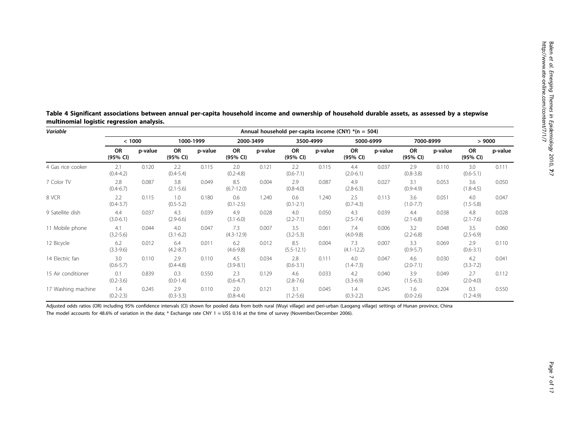Balen et al.

| Variable           | Annual household per-capita income (CNY) $*(n = 504)$ |         |                       |           |                       |         |                       |           |                       |           |                       |           |                       |         |
|--------------------|-------------------------------------------------------|---------|-----------------------|-----------|-----------------------|---------|-----------------------|-----------|-----------------------|-----------|-----------------------|-----------|-----------------------|---------|
|                    | < 1000                                                |         |                       | 1000-1999 | 2000-3499             |         |                       | 3500-4999 |                       | 5000-6999 |                       | 7000-8999 | >9000                 |         |
|                    | <b>OR</b><br>(95% CI)                                 | p-value | <b>OR</b><br>(95% CI) | p-value   | OR<br>(95% CI)        | p-value | <b>OR</b><br>(95% CI) | p-value   | <b>OR</b><br>(95% CI) | p-value   | <b>OR</b><br>(95% CI) | p-value   | <b>OR</b><br>(95% CI) | p-value |
| 4 Gas rice cooker  | 2.1<br>$(0.4 - 4.2)$                                  | 0.120   | 2.2<br>$(0.4 - 5.4)$  | 0.115     | 2.0<br>$(0.2 - 4.8)$  | 0.121   | 2.2<br>$(0.6 - 7.1)$  | 0.115     | 4.4<br>$(2.0 - 6.1)$  | 0.037     | 2.9<br>$(0.8 - 3.8)$  | 0.110     | 3.0<br>$(0.6 - 5.1)$  | 0.111   |
| 7 Color TV         | 2.8<br>$(0.4 - 6.7)$                                  | 0.087   | 3.8<br>$(2.1 - 5.6)$  | 0.049     | 8.5<br>$(6.7 - 12.0)$ | 0.004   | 2.9<br>$(0.8-4.0)$    | 0.087     | 4.9<br>$(2.8-6.3)$    | 0.027     | 3.1<br>$(0.9 - 4.9)$  | 0.053     | 3.6<br>$(1.8 - 4.5)$  | 0.050   |
| 8 VCR              | 2.2<br>$(0.4 - 3.7)$                                  | 0.115   | 1.0<br>$(0.5 - 5.2)$  | 0.180     | 0.6<br>$(0.1 - 2.5)$  | 1.240   | 0.6<br>$(0.1 - 2.1)$  | 1.240     | 2.5<br>$(0.7-4.3)$    | 0.113     | 3.6<br>$(1.0 - 7.7)$  | 0.051     | 4.0<br>$(1.5 - 5.8)$  | 0.047   |
| 9 Satellite dish   | 4.4<br>$(3.0 - 6.1)$                                  | 0.037   | 4.3<br>$(2.9-6.6)$    | 0.039     | 4.9<br>$(3.1 - 6.0)$  | 0.028   | 4.0<br>$(2.2 - 7.1)$  | 0.050     | 4.3<br>$(2.5 - 7.4)$  | 0.039     | 4.4<br>$(2.1 - 6.8)$  | 0.038     | 4.8<br>$(2.1 - 7.6)$  | 0.028   |
| 11 Mobile phone    | 4.1<br>$(3.2 - 5.6)$                                  | 0.044   | 4.0<br>$(3.1 - 6.2)$  | 0.047     | 7.3<br>$(4.3 - 12.9)$ | 0.007   | 3.5<br>$(3.2 - 5.3)$  | 0.061     | 7.4<br>$(4.0 - 9.8)$  | 0.006     | 3.2<br>$(2.2 - 6.8)$  | 0.048     | 3.5<br>$(2.5-6.9)$    | 0.060   |
| 12 Bicycle         | 6.2<br>$(3.3-9.6)$                                    | 0.012   | 6.4<br>$(4.2 - 8.7)$  | 0.011     | 6.2<br>$(4.6 - 9.8)$  | 0.012   | 8.5<br>$(5.5 - 12.1)$ | 0.004     | 7.3<br>$(4.1 - 12.2)$ | 0.007     | 3.3<br>$(0.9 - 5.7)$  | 0.069     | 2.9<br>$(0.6 - 3.1)$  | 0.110   |
| 14 Electric fan    | 3.0<br>$(0.6 - 5.7)$                                  | 0.110   | 2.9<br>$(0.4 - 4.8)$  | 0.110     | 4.5<br>$(3.9 - 8.1)$  | 0.034   | 2.8<br>$(0.6 - 3.1)$  | 0.111     | 4.0<br>$(1.4 - 7.3)$  | 0.047     | 4.6<br>$(2.0 - 7.1)$  | 0.030     | 4.2<br>$(3.3 - 7.2)$  | 0.041   |
| 15 Air conditioner | 0.1<br>$(0.2 - 3.6)$                                  | 0.839   | 0.3<br>$(0.0-1.4)$    | 0.550     | 2.3<br>$(0.6 - 4.7)$  | 0.129   | 4.6<br>$(2.8 - 7.6)$  | 0.033     | 4.2<br>$(3.3-6.9)$    | 0.040     | 3.9<br>$(1.5-6.3)$    | 0.049     | 2.7<br>$(2.0 - 4.0)$  | 0.112   |
| 17 Washing machine | 1.4<br>$(0.2 - 2.3)$                                  | 0.245   | 2.9<br>$(0.3 - 3.3)$  | 0.110     | 2.0<br>$(0.8 - 4.4)$  | 0.121   | 3.1<br>$(1.2 - 5.6)$  | 0.045     | 1.4<br>$(0.3 - 2.2)$  | 0.245     | 1.6<br>$(0.0-2.6)$    | 0.204     | 0.3<br>$(1.2 - 4.9)$  | 0.550   |

<span id="page-6-0"></span>Table <sup>4</sup> Significant associations between annual per-capita household income and ownership of household durable assets, as assessed by <sup>a</sup> stepwise multinomial logistic regression analysis.

Adjusted odds ratios (OR) including 95% confidence intervals (CI) shown for pooled data from both rural (Wuyi village) and peri-urban (Laogang village) settings of Hunan province, China The model accounts for 48.6% of variation in the data; \* Exchange rate CNY 1 ≈ US\$ 0.16 at the time of survey (November/December 2006).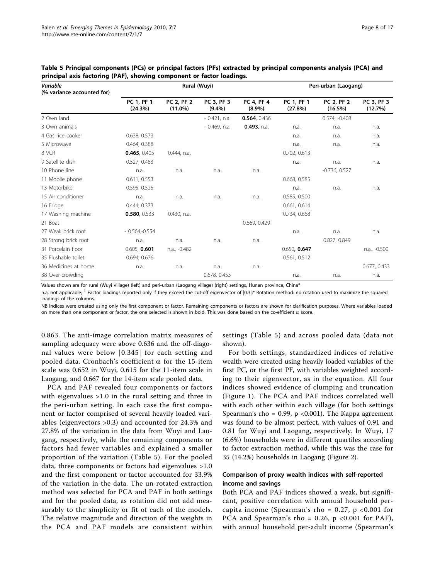| Variable<br>(% variance accounted for) |                       |                                 | Rural (Wuyi)            |                         | Peri-urban (Laogang)  |                                 |                       |  |  |
|----------------------------------------|-----------------------|---------------------------------|-------------------------|-------------------------|-----------------------|---------------------------------|-----------------------|--|--|
|                                        | PC 1, PF 1<br>(24.3%) | <b>PC 2, PF 2</b><br>$(11.0\%)$ | PC 3, PF 3<br>$(9.4\%)$ | PC 4, PF 4<br>$(8.9\%)$ | PC 1, PF 1<br>(27.8%) | <b>PC 2, PF 2</b><br>$(16.5\%)$ | PC 3, PF 3<br>(12.7%) |  |  |
| 2 Own land                             |                       |                                 | $-0.421$ , n.a.         | 0.564, 0.436            |                       | $0.574, -0.408$                 |                       |  |  |
| 3 Own animals                          |                       |                                 | $-0.469$ , n.a.         | 0.493, n.a.             | n.a.                  | n.a.                            | n.a.                  |  |  |
| 4 Gas rice cooker                      | 0.638, 0.573          |                                 |                         |                         | n.a.                  | n.a.                            | n.a.                  |  |  |
| 5 Microwave                            | 0.464, 0.388          |                                 |                         |                         | n.a.                  | n.a.                            | n.a.                  |  |  |
| 8 VCR                                  | 0.465, 0.405          | 0.444, n.a.                     |                         |                         | 0.702, 0.613          |                                 |                       |  |  |
| 9 Satellite dish                       | 0.527, 0.483          |                                 |                         |                         | n.a.                  | n.a.                            | n.a.                  |  |  |
| 10 Phone line                          | n.a.                  | n.a.                            | n.a.                    | n.a.                    |                       | $-0.736, 0.527$                 |                       |  |  |
| 11 Mobile phone                        | 0.611, 0.553          |                                 |                         |                         | 0.668, 0.585          |                                 |                       |  |  |
| 13 Motorbike                           | 0.595, 0.525          |                                 |                         |                         | n.a.                  | n.a.                            | n.a.                  |  |  |
| 15 Air conditioner                     | n.a.                  | n.a.                            | n.a.                    | n.a.                    | 0.585, 0.500          |                                 |                       |  |  |
| 16 Fridge                              | 0.444, 0.373          |                                 |                         |                         | 0.661, 0.614          |                                 |                       |  |  |
| 17 Washing machine                     | 0.580, 0.533          | 0.430, n.a.                     |                         |                         | 0.734, 0.668          |                                 |                       |  |  |
| 21 Boat                                |                       |                                 |                         | 0.669, 0.429            |                       |                                 |                       |  |  |
| 27 Weak brick roof                     | $-0.564,-0.554$       |                                 |                         |                         | n.a.                  | n.a.                            | n.a.                  |  |  |
| 28 Strong brick roof                   | n.a.                  | n.a.                            | n.a.                    | n.a.                    |                       | 0.827, 0.849                    |                       |  |  |
| 31 Porcelain floor                     | 0.605, 0.601          | n.a., -0.482                    |                         |                         | 0.650, 0.647          |                                 | n.a., -0.500          |  |  |
| 35 Flushable toilet                    | 0.694, 0.676          |                                 |                         |                         | 0.561, 0.512          |                                 |                       |  |  |
| 36 Medicines at home                   | n.a.                  | n.a.                            | n.a.                    | n.a.                    |                       |                                 | 0.677, 0.433          |  |  |
| 38 Over-crowding                       |                       |                                 | 0.678, 0.453            |                         | n.a.                  | n.a.                            | n.a.                  |  |  |

<span id="page-7-0"></span>Table 5 Principal components (PCs) or principal factors (PFs) extracted by principal components analysis (PCA) and principal axis factoring (PAF), showing component or factor loadings.

Values shown are for rural (Wuyi village) (left) and peri-urban (Laogang village) (right) settings, Hunan province, China\*

n.a, not applicable; <sup>1</sup> Factor loadings reported only if they exceed the cut-off eigenvector of  $|0.3|$ ;\* Rotation method: no rotation used to maximize the squared loadings of the columns.

NB Indices were created using only the first component or factor. Remaining components or factors are shown for clarification purposes. Where variables loaded on more than one component or factor, the one selected is shown in bold. This was done based on the co-efficient  $\alpha$  score.

0.863. The anti-image correlation matrix measures of sampling adequacy were above 0.636 and the off-diagonal values were below |0.345| for each setting and pooled data. Cronbach's coefficient  $\alpha$  for the 15-item scale was 0.652 in Wuyi, 0.615 for the 11-item scale in Laogang, and 0.667 for the 14-item scale pooled data.

PCA and PAF revealed four components or factors with eigenvalues >1.0 in the rural setting and three in the peri-urban setting. In each case the first component or factor comprised of several heavily loaded variables (eigenvectors >0.3) and accounted for 24.3% and 27.8% of the variation in the data from Wuyi and Laogang, respectively, while the remaining components or factors had fewer variables and explained a smaller proportion of the variation (Table 5). For the pooled data, three components or factors had eigenvalues >1.0 and the first component or factor accounted for 33.9% of the variation in the data. The un-rotated extraction method was selected for PCA and PAF in both settings and for the pooled data, as rotation did not add measurably to the simplicity or fit of each of the models. The relative magnitude and direction of the weights in the PCA and PAF models are consistent within

settings (Table 5) and across pooled data (data not shown).

For both settings, standardized indices of relative wealth were created using heavily loaded variables of the first PC, or the first PF, with variables weighted according to their eigenvector, as in the equation. All four indices showed evidence of clumping and truncation (Figure [1\)](#page-8-0). The PCA and PAF indices correlated well with each other within each village (for both settings Spearman's rho = 0.99, p < 0.001). The Kappa agreement was found to be almost perfect, with values of 0.91 and 0.81 for Wuyi and Laogang, respectively. In Wuyi, 17 (6.6%) households were in different quartiles according to factor extraction method, while this was the case for 35 (14.2%) households in Laogang (Figure [2](#page-9-0)).

# Comparison of proxy wealth indices with self-reported income and savings

Both PCA and PAF indices showed a weak, but significant, positive correlation with annual household percapita income (Spearman's rho =  $0.27$ , p <  $0.001$  for PCA and Spearman's rho =  $0.26$ , p <  $0.001$  for PAF), with annual household per-adult income (Spearman's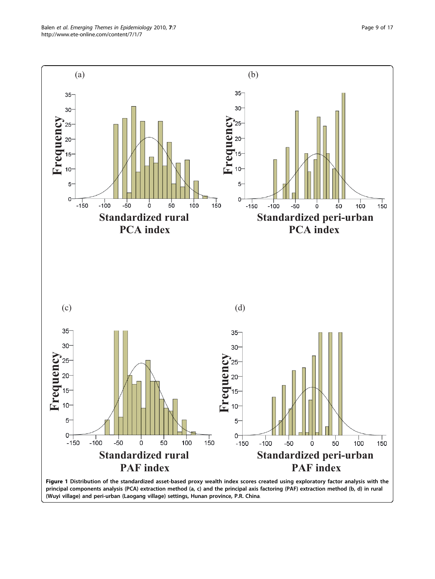<span id="page-8-0"></span>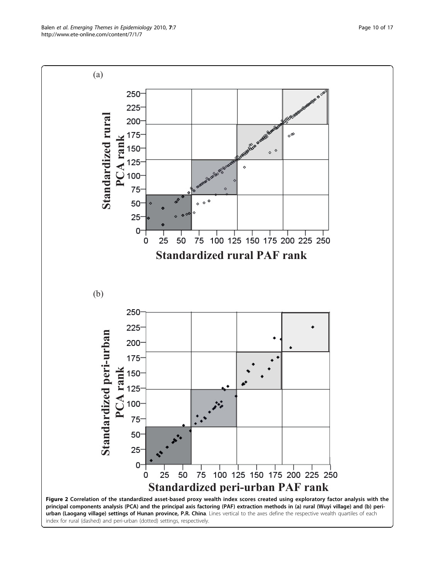<span id="page-9-0"></span>Balen et al. Emerging Themes in Epidemiology 2010, 7:7 http://www.ete-online.com/content/7/1/7

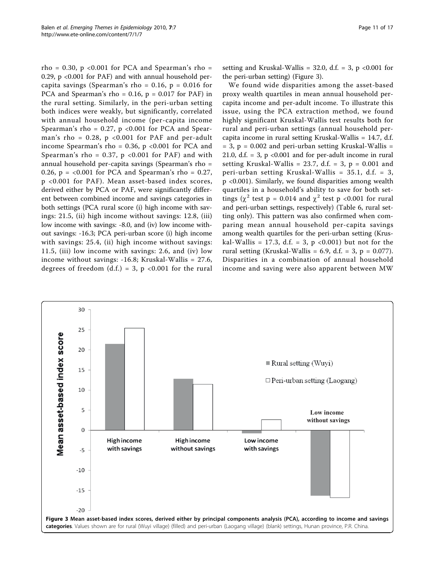rho = 0.30,  $p \le 0.001$  for PCA and Spearman's rho = 0.29, p <0.001 for PAF) and with annual household percapita savings (Spearman's rho =  $0.16$ , p =  $0.016$  for PCA and Spearman's rho =  $0.16$ ,  $p = 0.017$  for PAF) in the rural setting. Similarly, in the peri-urban setting both indices were weakly, but significantly, correlated with annual household income (per-capita income Spearman's rho =  $0.27$ , p <  $0.001$  for PCA and Spearman's rho =  $0.28$ , p <  $0.001$  for PAF and per-adult income Spearman's rho =  $0.36$ , p <  $0.001$  for PCA and Spearman's rho =  $0.37$ , p <  $0.001$  for PAF) and with annual household per-capita savings (Spearman's rho = 0.26,  $p = <0.001$  for PCA and Spearman's rho = 0.27, p <0.001 for PAF). Mean asset-based index scores, derived either by PCA or PAF, were significantly different between combined income and savings categories in both settings (PCA rural score (i) high income with savings: 21.5, (ii) high income without savings: 12.8, (iii) low income with savings: -8.0, and (iv) low income without savings: -16.3; PCA peri-urban score (i) high income with savings: 25.4, (ii) high income without savings: 11.5, (iii) low income with savings: 2.6, and (iv) low income without savings: -16.8; Kruskal-Wallis = 27.6, degrees of freedom  $(d.f.) = 3$ ,  $p < 0.001$  for the rural

setting and Kruskal-Wallis = 32.0, d.f. = 3, p <0.001 for the peri-urban setting) (Figure 3).

We found wide disparities among the asset-based proxy wealth quartiles in mean annual household percapita income and per-adult income. To illustrate this issue, using the PCA extraction method, we found highly significant Kruskal-Wallis test results both for rural and peri-urban settings (annual household percapita income in rural setting Kruskal-Wallis = 14.7, d.f.  $= 3$ ,  $p = 0.002$  and peri-urban setting Kruskal-Wallis  $=$ 21.0, d.f.  $= 3$ ,  $p \le 0.001$  and for per-adult income in rural setting Kruskal-Wallis = 23.7, d.f. = 3,  $p = 0.001$  and peri-urban setting Kruskal-Wallis = 35.1, d.f. = 3, p <0.001). Similarly, we found disparities among wealth quartiles in a household's ability to save for both settings ( $\chi^2$  test p = 0.014 and  $\chi^2$  test p <0.001 for rural and peri-urban settings, respectively) (Table [6](#page-11-0), rural setting only). This pattern was also confirmed when comparing mean annual household per-capita savings among wealth quartiles for the peri-urban setting (Kruskal-Wallis = 17.3, d.f. = 3,  $p$  <0.001) but not for the rural setting (Kruskal-Wallis = 6.9, d.f. = 3,  $p = 0.077$ ). Disparities in a combination of annual household income and saving were also apparent between MW

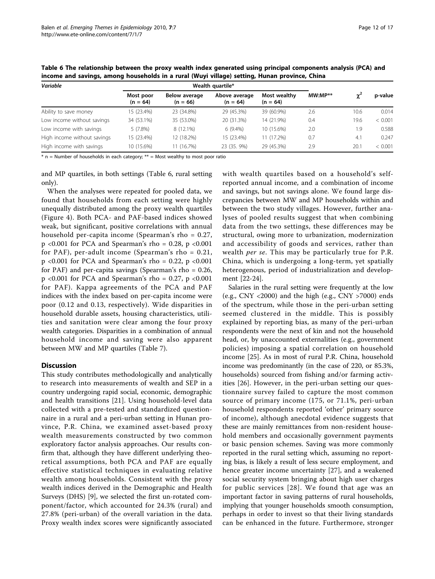| Variable                    |                         | Wealth quartile*            |                             |                            |           |      |         |
|-----------------------------|-------------------------|-----------------------------|-----------------------------|----------------------------|-----------|------|---------|
|                             | Most poor<br>$(n = 64)$ | Below average<br>$(n = 66)$ | Above average<br>$(n = 64)$ | Most wealthy<br>$(n = 64)$ | $MW:MP**$ |      | p-value |
| Ability to save money       | 15 (23.4%)              | 23 (34.8%)                  | 29 (45.3%)                  | 39 (60.9%)                 | 2.6       | 10.6 | 0.014   |
| Low income without savings  | 34 (53.1%)              | 35 (53.0%)                  | 20 (31.3%)                  | 14 (21.9%)                 | 0.4       | 19.6 | < 0.001 |
| Low income with savings     | $5(7.8\%)$              | 8 (12.1%)                   | $6(9.4\%)$                  | 10 (15.6%)                 | 2.0       | 1.9  | 0.588   |
| High income without savings | 15 (23.4%)              | 12 (18.2%)                  | 15 (23.4%)                  | 11 (17.2%)                 | 0.7       | 4.1  | 0.247   |
| High income with savings    | 10 (15.6%)              | 11 (16.7%)                  | 23 (35, 9%)                 | 29 (45.3%)                 | 2.9       | 20.1 | < 0.001 |

<span id="page-11-0"></span>Table 6 The relationship between the proxy wealth index generated using principal components analysis (PCA) and income and savings, among households in a rural (Wuyi village) setting, Hunan province, China

 $*$  n = Number of households in each category;  $**$  = Most wealthy to most poor ratio

and MP quartiles, in both settings (Table 6, rural setting only).

When the analyses were repeated for pooled data, we found that households from each setting were highly unequally distributed among the proxy wealth quartiles (Figure [4\)](#page-12-0). Both PCA- and PAF-based indices showed weak, but significant, positive correlations with annual household per-capita income (Spearman's rho = 0.27,  $p \le 0.001$  for PCA and Spearman's rho = 0.28, p  $\le 0.001$ for PAF), per-adult income (Spearman's rho =  $0.21$ ,  $p \le 0.001$  for PCA and Spearman's rho = 0.22, p  $\le 0.001$ for PAF) and per-capita savings (Spearman's rho = 0.26,  $p$  <0.001 for PCA and Spearman's rho = 0.27, p <0.001 for PAF). Kappa agreements of the PCA and PAF indices with the index based on per-capita income were poor (0.12 and 0.13, respectively). Wide disparities in household durable assets, housing characteristics, utilities and sanitation were clear among the four proxy wealth categories. Disparities in a combination of annual household income and saving were also apparent between MW and MP quartiles (Table [7\)](#page-12-0).

# **Discussion**

This study contributes methodologically and analytically to research into measurements of wealth and SEP in a country undergoing rapid social, economic, demographic and health transitions [\[21\]](#page-15-0). Using household-level data collected with a pre-tested and standardized questionnaire in a rural and a peri-urban setting in Hunan province, P.R. China, we examined asset-based proxy wealth measurements constructed by two common exploratory factor analysis approaches. Our results confirm that, although they have different underlying theoretical assumptions, both PCA and PAF are equally effective statistical techniques in evaluating relative wealth among households. Consistent with the proxy wealth indices derived in the Demographic and Health Surveys (DHS) [[9](#page-15-0)], we selected the first un-rotated component/factor, which accounted for 24.3% (rural) and 27.8% (peri-urban) of the overall variation in the data. Proxy wealth index scores were significantly associated with wealth quartiles based on a household's selfreported annual income, and a combination of income and savings, but not savings alone. We found large discrepancies between MW and MP households within and between the two study villages. However, further analyses of pooled results suggest that when combining data from the two settings, these differences may be structural, owing more to urbanization, modernization and accessibility of goods and services, rather than wealth per se. This may be particularly true for P.R. China, which is undergoing a long-term, yet spatially heterogenous, period of industrialization and development [\[22-24](#page-15-0)].

Salaries in the rural setting were frequently at the low (e.g., CNY <2000) and the high (e.g., CNY >7000) ends of the spectrum, while those in the peri-urban setting seemed clustered in the middle. This is possibly explained by reporting bias, as many of the peri-urban respondents were the next of kin and not the household head, or, by unaccounted externalities (e.g., government policies) imposing a spatial correlation on household income [[25\]](#page-15-0). As in most of rural P.R. China, household income was predominantly (in the case of 220, or 85.3%, households) sourced from fishing and/or farming activities [\[26\]](#page-16-0). However, in the peri-urban setting our questionnaire survey failed to capture the most common source of primary income (175, or 71.1%, peri-urban household respondents reported 'other' primary source of income), although anecdotal evidence suggests that these are mainly remittances from non-resident household members and occasionally government payments or basic pension schemes. Saving was more commonly reported in the rural setting which, assuming no reporting bias, is likely a result of less secure employment, and hence greater income uncertainty [[27\]](#page-16-0), and a weakened social security system bringing about high user charges for public services [[28](#page-16-0)]. We found that age was an important factor in saving patterns of rural households, implying that younger households smooth consumption, perhaps in order to invest so that their living standards can be enhanced in the future. Furthermore, stronger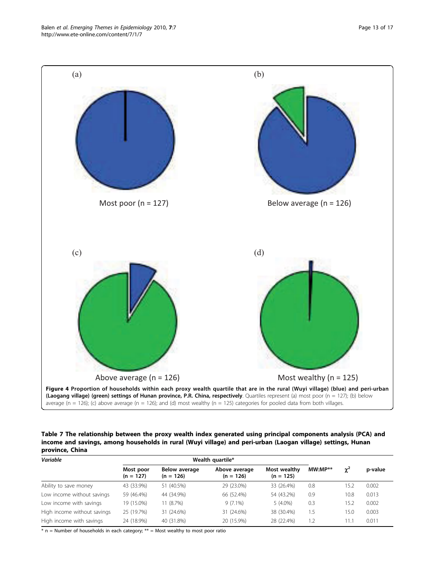<span id="page-12-0"></span>

Table 7 The relationship between the proxy wealth index generated using principal components analysis (PCA) and income and savings, among households in rural (Wuyi village) and peri-urban (Laogan village) settings, Hunan province, China

| Variable                    |                          | Wealth quartile*                    |                              |                             |           |            |         |
|-----------------------------|--------------------------|-------------------------------------|------------------------------|-----------------------------|-----------|------------|---------|
|                             | Most poor<br>$(n = 127)$ | <b>Below average</b><br>$(n = 126)$ | Above average<br>$(n = 126)$ | Most wealthy<br>$(n = 125)$ | $MW:MP**$ | $\gamma^2$ | p-value |
| Ability to save money       | 43 (33.9%)               | 51 (40.5%)                          | 29 (23.0%)                   | 33 (26.4%)                  | 0.8       | 15.2       | 0.002   |
| Low income without savings  | 59 (46.4%)               | 44 (34.9%)                          | 66 (52.4%)                   | 54 (43.2%)                  | 0.9       | 10.8       | 0.013   |
| Low income with savings     | 19 (15.0%)               | 11 (8.7%)                           | $9(7.1\%)$                   | $5(4.0\%)$                  | 0.3       | 5.2        | 0.002   |
| High income without savings | 25 (19.7%)               | 31 (24.6%)                          | 31 (24.6%)                   | 38 (30.4%)                  | 1.5       | 15.0       | 0.003   |
| High income with savings    | 24 (18.9%)               | 40 (31.8%)                          | 20 (15.9%)                   | 28 (22.4%)                  | 1.2       | 1.1        | 0.011   |

 $*$  n = Number of households in each category;  $**$  = Most wealthy to most poor ratio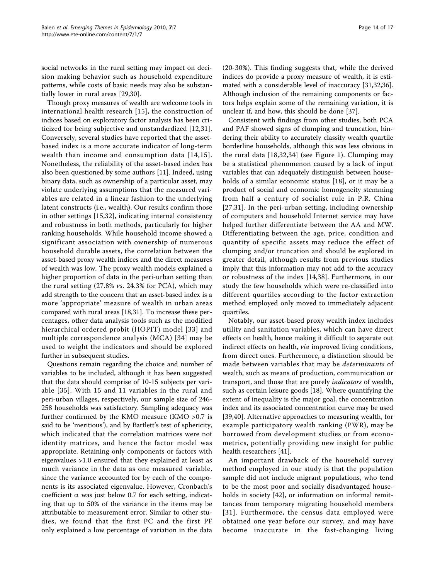social networks in the rural setting may impact on decision making behavior such as household expenditure patterns, while costs of basic needs may also be substantially lower in rural areas [\[29,30\]](#page-16-0).

Though proxy measures of wealth are welcome tools in international health research [[15\]](#page-15-0), the construction of indices based on exploratory factor analysis has been criticized for being subjective and unstandardized [\[12,](#page-15-0)[31](#page-16-0)]. Conversely, several studies have reported that the assetbased index is a more accurate indicator of long-term wealth than income and consumption data [[14](#page-15-0),[15\]](#page-15-0). Nonetheless, the reliability of the asset-based index has also been questioned by some authors [\[11\]](#page-15-0). Indeed, using binary data, such as ownership of a particular asset, may violate underlying assumptions that the measured variables are related in a linear fashion to the underlying latent constructs (i.e., wealth). Our results confirm those in other settings [\[15](#page-15-0),[32\]](#page-16-0), indicating internal consistency and robustness in both methods, particularly for higher ranking households. While household income showed a significant association with ownership of numerous household durable assets, the correlation between the asset-based proxy wealth indices and the direct measures of wealth was low. The proxy wealth models explained a higher proportion of data in the peri-urban setting than the rural setting (27.8% vs. 24.3% for PCA), which may add strength to the concern that an asset-based index is a more 'appropriate' measure of wealth in urban areas compared with rural areas [[18,](#page-15-0)[31\]](#page-16-0). To increase these percentages, other data analysis tools such as the modified hierarchical ordered probit (HOPIT) model [\[33](#page-16-0)] and multiple correspondence analysis (MCA) [[34](#page-16-0)] may be used to weight the indicators and should be explored further in subsequent studies.

Questions remain regarding the choice and number of variables to be included, although it has been suggested that the data should comprise of 10-15 subjects per variable [[35\]](#page-16-0). With 15 and 11 variables in the rural and peri-urban villages, respectively, our sample size of 246- 258 households was satisfactory. Sampling adequacy was further confirmed by the KMO measure (KMO >0.7 is said to be 'meritious'), and by Bartlett's test of sphericity, which indicated that the correlation matrices were not identity matrices, and hence the factor model was appropriate. Retaining only components or factors with eigenvalues >1.0 ensured that they explained at least as much variance in the data as one measured variable, since the variance accounted for by each of the components is its associated eigenvalue. However, Cronbach's coefficient  $\alpha$  was just below 0.7 for each setting, indicating that up to 50% of the variance in the items may be attributable to measurement error. Similar to other studies, we found that the first PC and the first PF only explained a low percentage of variation in the data

(20-30%). This finding suggests that, while the derived indices do provide a proxy measure of wealth, it is estimated with a considerable level of inaccuracy [[31,32,36](#page-16-0)]. Although inclusion of the remaining components or factors helps explain some of the remaining variation, it is unclear if, and how, this should be done [\[37\]](#page-16-0).

Consistent with findings from other studies, both PCA and PAF showed signs of clumping and truncation, hindering their ability to accurately classify wealth quartile borderline households, although this was less obvious in the rural data [[18](#page-15-0),[32,34](#page-16-0)] (see Figure [1\)](#page-8-0). Clumping may be a statistical phenomenon caused by a lack of input variables that can adequately distinguish between households of a similar economic status [[18\]](#page-15-0), or it may be a product of social and economic homogeneity stemming from half a century of socialist rule in P.R. China [[27](#page-16-0),[31\]](#page-16-0). In the peri-urban setting, including ownership of computers and household Internet service may have helped further differentiate between the AA and MW. Differentiating between the age, price, condition and quantity of specific assets may reduce the effect of clumping and/or truncation and should be explored in greater detail, although results from previous studies imply that this information may not add to the accuracy or robustness of the index [[14,](#page-15-0)[38](#page-16-0)]. Furthermore, in our study the few households which were re-classified into different quartiles according to the factor extraction method employed only moved to immediately adjacent quartiles.

Notably, our asset-based proxy wealth index includes utility and sanitation variables, which can have direct effects on health, hence making it difficult to separate out indirect effects on health, *via* improved living conditions, from direct ones. Furthermore, a distinction should be made between variables that may be determinants of wealth, such as means of production, communication or transport, and those that are purely *indicators* of wealth, such as certain leisure goods [\[18\]](#page-15-0). Where quantifying the extent of inequality is the major goal, the concentration index and its associated concentration curve may be used [[39,40](#page-16-0)]. Alternative approaches to measuring wealth, for example participatory wealth ranking (PWR), may be borrowed from development studies or from econometrics, potentially providing new insight for public health researchers [\[41\]](#page-16-0).

An important drawback of the household survey method employed in our study is that the population sample did not include migrant populations, who tend to be the most poor and socially disadvantaged house-holds in society [[42\]](#page-16-0), or information on informal remittances from temporary migrating household members [[31](#page-16-0)]. Furthermore, the census data employed were obtained one year before our survey, and may have become inaccurate in the fast-changing living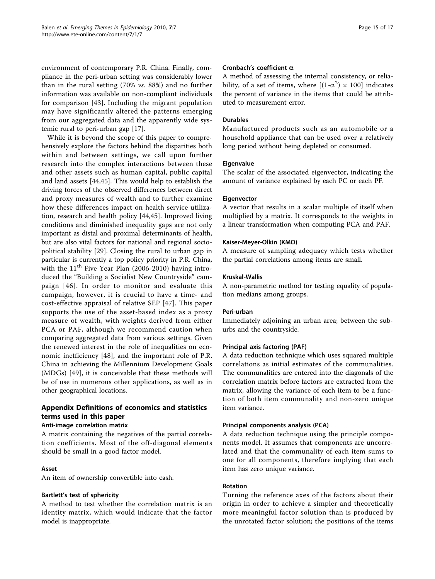environment of contemporary P.R. China. Finally, compliance in the peri-urban setting was considerably lower than in the rural setting (70% vs. 88%) and no further information was available on non-compliant individuals for comparison [[43\]](#page-16-0). Including the migrant population may have significantly altered the patterns emerging from our aggregated data and the apparently wide systemic rural to peri-urban gap [[17\]](#page-15-0).

While it is beyond the scope of this paper to comprehensively explore the factors behind the disparities both within and between settings, we call upon further research into the complex interactions between these and other assets such as human capital, public capital and land assets [[44,45\]](#page-16-0). This would help to establish the driving forces of the observed differences between direct and proxy measures of wealth and to further examine how these differences impact on health service utilization, research and health policy [\[44,45](#page-16-0)]. Improved living conditions and diminished inequality gaps are not only important as distal and proximal determinants of health, but are also vital factors for national and regional sociopolitical stability [\[29](#page-16-0)]. Closing the rural to urban gap in particular is currently a top policy priority in P.R. China, with the  $11<sup>th</sup>$  Five Year Plan (2006-2010) having introduced the "Building a Socialist New Countryside" campaign [[46\]](#page-16-0). In order to monitor and evaluate this campaign, however, it is crucial to have a time- and cost-effective appraisal of relative SEP [[47\]](#page-16-0). This paper supports the use of the asset-based index as a proxy measure of wealth, with weights derived from either PCA or PAF, although we recommend caution when comparing aggregated data from various settings. Given the renewed interest in the role of inequalities on economic inefficiency [[48\]](#page-16-0), and the important role of P.R. China in achieving the Millennium Development Goals (MDGs) [[49](#page-16-0)], it is conceivable that these methods will be of use in numerous other applications, as well as in other geographical locations.

# Appendix Definitions of economics and statistics terms used in this paper

# Anti-image correlation matrix

A matrix containing the negatives of the partial correlation coefficients. Most of the off-diagonal elements should be small in a good factor model.

### Asset

An item of ownership convertible into cash.

#### Bartlett's test of sphericity

A method to test whether the correlation matrix is an identity matrix, which would indicate that the factor model is inappropriate.

# Cronbach's coefficient  $\alpha$

A method of assessing the internal consistency, or reliability, of a set of items, where  $[(1-\alpha^2) \times 100]$  indicates the percent of variance in the items that could be attributed to measurement error.

# Durables

Manufactured products such as an automobile or a household appliance that can be used over a relatively long period without being depleted or consumed.

#### **Eigenvalue**

The scalar of the associated eigenvector, indicating the amount of variance explained by each PC or each PF.

#### Eigenvector

A vector that results in a scalar multiple of itself when multiplied by a matrix. It corresponds to the weights in a linear transformation when computing PCA and PAF.

#### Kaiser-Meyer-Olkin (KMO)

A measure of sampling adequacy which tests whether the partial correlations among items are small.

#### Kruskal-Wallis

A non-parametric method for testing equality of population medians among groups.

#### Peri-urban

Immediately adjoining an urban area; between the suburbs and the countryside.

#### Principal axis factoring (PAF)

A data reduction technique which uses squared multiple correlations as initial estimates of the communalities. The communalities are entered into the diagonals of the correlation matrix before factors are extracted from the matrix, allowing the variance of each item to be a function of both item communality and non-zero unique item variance.

#### Principal components analysis (PCA)

A data reduction technique using the principle components model. It assumes that components are uncorrelated and that the communality of each item sums to one for all components, therefore implying that each item has zero unique variance.

#### Rotation

Turning the reference axes of the factors about their origin in order to achieve a simpler and theoretically more meaningful factor solution than is produced by the unrotated factor solution; the positions of the items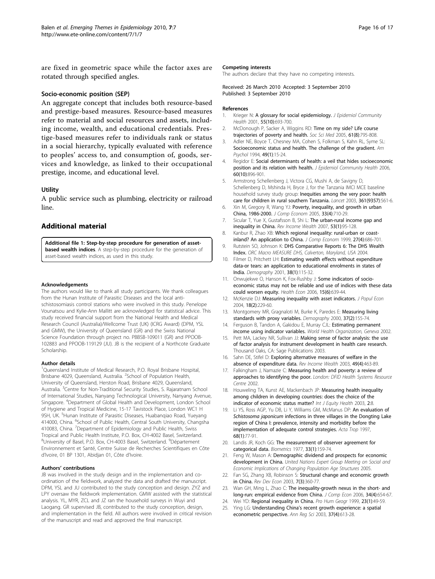<span id="page-15-0"></span>are fixed in geometric space while the factor axes are rotated through specified angles.

#### Socio-economic position (SEP)

An aggregate concept that includes both resource-based and prestige-based measures. Resource-based measures refer to material and social resources and assets, including income, wealth, and educational credentials. Prestige-based measures refer to individuals rank or status in a social hierarchy, typically evaluated with reference to peoples' access to, and consumption of, goods, services and knowledge, as linked to their occupational prestige, income, and educational level.

#### **Utility**

A public service such as plumbing, electricity or railroad line.

# Additional material

[Additional file 1: S](http://www.biomedcentral.com/content/supplementary/1742-7622-7-7-S1.DOC)tep-by-step procedure for generation of assetbased wealth indices. A step-by-step procedure for the generation of asset-based wealth indices, as used in this study.

#### Acknowledgements

The authors would like to thank all study participants. We thank colleagues from the Hunan Institute of Parasitic Diseases and the local antischistosomiasis control stations who were involved in this study. Penelope Vounatsou and Kylie-Ann Mallitt are acknowledged for statistical advice. This study received financial support from the National Health and Medical Research Council (Australia)/Wellcome Trust (UK) (ICRG Award) (DPM, YSL and GMW), the University of Queensland (GR) and the Swiss National Science Foundation through project no. PBBSB-109011 (GR) and PPOOB-102883 and PPOOB-119129 (JU). JB is the recipient of a Northcote Graduate Scholarship.

#### Author details

<sup>1</sup>Queensland Institute of Medical Research, P.O. Royal Brisbane Hospital, Brisbane 4029, Queensland, Australia. <sup>2</sup>School of Population Health, University of Queensland, Herston Road, Brisbane 4029, Queensland, Australia. <sup>3</sup>Centre for Non-Traditional Security Studies, S. Rajaratnam School of International Studies, Nanyang Technological University, Nanyang Avenue, Singapore. <sup>4</sup> Department of Global Health and Development, London School of Hygiene and Tropical Medicine, 15-17 Tavistock Place, London WC1 H 9SH, UK. <sup>5</sup>Hunan Institute of Parasitic Diseases, Huabanqiao Road, Yueyang 414000, China. <sup>6</sup>School of Public Health, Central South University, Changsha 410083, China. <sup>7</sup>Department of Epidemiology and Public Health, Swiss Tropical and Public Health Institute, P.O. Box, CH-4002 Basel, Switzerland. <sup>8</sup>University of Basel, P.O. Box, CH-4003 Basel, Switzerland. <sup>9</sup>Département Environnement et Santé, Centre Suisse de Recherches Scientifiques en Côte d'Ivoire, 01 BP 1301, Abidjan 01, Côte d'Ivoire.

#### Authors' contributions

JB was involved in the study design and in the implementation and coordination of the fieldwork, analyzed the data and drafted the manuscript. DPM, YSL and JU contributed to the study conception and design. ZYZ and LPY oversaw the fieldwork implementation. GMW assisted with the statistical analysis. YL, MYR, ZCL and JZ ran the household surveys in Wuyi and Laogang. GR supervised JB, contributed to the study conception, design, and implementation in the field. All authors were involved in critical revision of the manuscript and read and approved the final manuscript.

#### Competing interests

The authors declare that they have no competing interests.

Received: 26 March 2010 Accepted: 3 September 2010 Published: 3 September 2010

#### References

- 1. Krieger N: [A glossary for social epidemiology.](http://www.ncbi.nlm.nih.gov/pubmed/11553651?dopt=Abstract) J Epidemiol Community Health 2001, 55(10):693-700.
- 2. McDonough P, Sacker A, Wiggins RD: Time on my side? Life course trajectories of poverty and health. Soc Sci Med 2005, 61(8):795-808.
- 3. Adler NE, Boyce T, Chesney MA, Cohen S, Folkman S, Kahn RL, Syme SL: [Socioeconomic status and health. The challenge of the gradient.](http://www.ncbi.nlm.nih.gov/pubmed/8122813?dopt=Abstract) Am Psychol 1994, 49(1):15-24.
- Regidor E: [Social determinants of health: a veil that hides socioeconomic](http://www.ncbi.nlm.nih.gov/pubmed/16973539?dopt=Abstract) [position and its relation with health.](http://www.ncbi.nlm.nih.gov/pubmed/16973539?dopt=Abstract) J Epidemiol Community Health 2006, 60(10):896-901.
- 5. Armstrong Schellenberg J, Victora CG, Mushi A, de Savigny D, Schellenberg D, Mshinda H, Bryce J, for the Tanzania IMCI MCE baseline household survey study group: [Inequities among the very poor: health](http://www.ncbi.nlm.nih.gov/pubmed/12598141?dopt=Abstract) [care for children in rural southern Tanzania.](http://www.ncbi.nlm.nih.gov/pubmed/12598141?dopt=Abstract) Lancet 2003, 361(9357):561-6.
- 6. Xin M, Gregory R, Wang YJ: Poverty, inequality, and growth in urban China, 1986-2000. J Comp Econom 2005, 33(4):710-29.
- 7. Sicular T, Yue X, Gustafsson B, Shi L: The urban-rural income gap and inequality in China. Rev Income Wealth 2007, 53(1):95-128.
- 8. Kanbur R, Zhao XB: Which regional inequality: rural-urban or coastinland? An application to China. J Comp Econom 1999, 27(4):686-701.
- 9. Rutstein SO, Johnson K: DHS Comparative Reports 6: The DHS Wealth Index. ORC Macro MEASURE DHS, Calverton, Maryland, USA 2004.
- 10. Filmer D, Pritchett LH: [Estimating wealth effects without expenditure](http://www.ncbi.nlm.nih.gov/pubmed/11227840?dopt=Abstract) [data-or tears: an application to educational enrolments in states of](http://www.ncbi.nlm.nih.gov/pubmed/11227840?dopt=Abstract) [India.](http://www.ncbi.nlm.nih.gov/pubmed/11227840?dopt=Abstract) Demography 2001, 38(1):115-32.
- 11. Onwujekwe O, Hanson K, Fox-Rushby J: [Some indicators of socio](http://www.ncbi.nlm.nih.gov/pubmed/16416405?dopt=Abstract)[economic status may not be reliable and use of indices with these data](http://www.ncbi.nlm.nih.gov/pubmed/16416405?dopt=Abstract) [could worsen equity.](http://www.ncbi.nlm.nih.gov/pubmed/16416405?dopt=Abstract) Health Econ 2006, 15(6):639-44.
- 12. McKenzie DJ: Measuring inequality with asset indicators. J Popul Econ 2004, 18(2):229-60.
- 13. Montgomery MR, Gragnaloti M, Burke K, Paredes E: [Measuring living](http://www.ncbi.nlm.nih.gov/pubmed/10836174?dopt=Abstract) [standards with proxy variables.](http://www.ncbi.nlm.nih.gov/pubmed/10836174?dopt=Abstract) Demography 2000, 37(2):155-74.
- 14. Ferguson B, Tandon A, Gakidou E, Murray CJL: Estimating permanent income using indicator variables. World Health Organization, Geneva 2002.
- 15. Pett MA, Lackey NR, Sullivan JJ: Making sense of factor analysis: the use of factor analysis for instrument development in health care research. Thousand Oaks, CA: Sage Publications 2003.
- 16. Sahn DE, Stifel D: Exploring alternative measures of welfare in the absence of expenditure data. Rev Income Wealth 2003, 49(4):463-89.
- 17. Falkingham J, Namazie C: Measuring health and poverty: a review of approaches to identifying the poor. London: DFID Health Systems Resource Centre 2002.
- 18. Houweling TA, Kunst AE, Mackenbach JP: [Measuring health inequality](http://www.ncbi.nlm.nih.gov/pubmed/14609435?dopt=Abstract) [among children in developing countries: does the choice of the](http://www.ncbi.nlm.nih.gov/pubmed/14609435?dopt=Abstract) [indicator of economic status matter?](http://www.ncbi.nlm.nih.gov/pubmed/14609435?dopt=Abstract) Int J Equity Health 2003, 2:8.
- 19. Li YS, Ross AGP, Yu DB, Li Y, Williams GM, McManus DP: [An evaluation of](http://www.ncbi.nlm.nih.gov/pubmed/9352004?dopt=Abstract) Schistosoma japonicum [infections in three villages in the Dongting Lake](http://www.ncbi.nlm.nih.gov/pubmed/9352004?dopt=Abstract) [region of China I: prevalence, intensity and morbidity before the](http://www.ncbi.nlm.nih.gov/pubmed/9352004?dopt=Abstract) [implementation of adequate control strategies.](http://www.ncbi.nlm.nih.gov/pubmed/9352004?dopt=Abstract) Acta Trop 1997, 68(1):77-91.
- 20. Landis JR, Koch GG: [The measurement of observer agreement for](http://www.ncbi.nlm.nih.gov/pubmed/843571?dopt=Abstract) [categorical data.](http://www.ncbi.nlm.nih.gov/pubmed/843571?dopt=Abstract) Biometrics 1977, 33(1):159-74.
- 21. Feng W, Mason A: Demographic dividend and prospects for economic development in China. United Nations Expert Group Meeting on Social and Economic Implications of Changing Population Age Structures 2005.
- 22. Fan SG, Zhang XB, Robinson S: Structural change and economic growth in China. Rev Dev Econ 2003, 7(3):360-77.
- 23. Wan GH, Ming L, Zhao C: The inequality-growth nexus in the short- and long-run: empirical evidence from China. J Comp Econ 2006, 34(4):654-67.
- 24. Wei YD: Regional inequality in China. Pro Hum Geogr 1999, 23(1):49-59.
- 25. Ying LG: Understanding China's recent growth experience: a spatial econometric perspective. Ann Reg Sci 2003, 37(4):613-28.